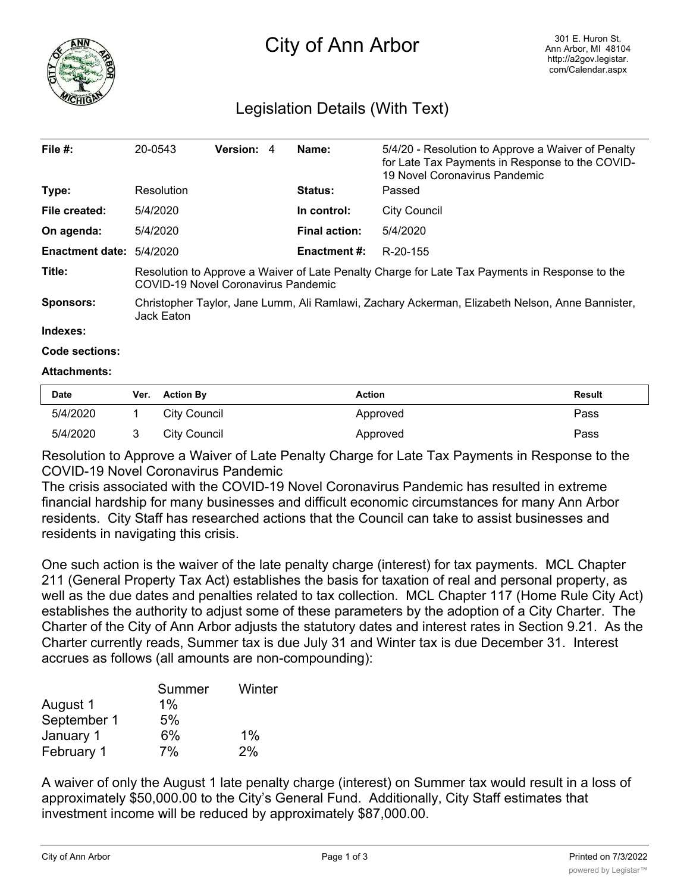

# City of Ann Arbor

# Legislation Details (With Text)

| File $#$ :             | 20-0543                                                                                                                               | Version: 4 |  | Name:                | 5/4/20 - Resolution to Approve a Waiver of Penalty<br>for Late Tax Payments in Response to the COVID-<br>19 Novel Coronavirus Pandemic |  |
|------------------------|---------------------------------------------------------------------------------------------------------------------------------------|------------|--|----------------------|----------------------------------------------------------------------------------------------------------------------------------------|--|
| Type:                  | Resolution                                                                                                                            |            |  | <b>Status:</b>       | Passed                                                                                                                                 |  |
| File created:          | 5/4/2020                                                                                                                              |            |  | In control:          | City Council                                                                                                                           |  |
| On agenda:             | 5/4/2020                                                                                                                              |            |  | <b>Final action:</b> | 5/4/2020                                                                                                                               |  |
| <b>Enactment date:</b> | 5/4/2020                                                                                                                              |            |  | <b>Enactment #:</b>  | R-20-155                                                                                                                               |  |
| Title:                 | Resolution to Approve a Waiver of Late Penalty Charge for Late Tax Payments in Response to the<br>COVID-19 Novel Coronavirus Pandemic |            |  |                      |                                                                                                                                        |  |
| Sponsors:              | Christopher Taylor, Jane Lumm, Ali Ramlawi, Zachary Ackerman, Elizabeth Nelson, Anne Bannister,<br>Jack Eaton                         |            |  |                      |                                                                                                                                        |  |
| Indexes:               |                                                                                                                                       |            |  |                      |                                                                                                                                        |  |

#### **Code sections:**

## **Attachments:**

| <b>Date</b> | Ver. Action By | Action   | Result |
|-------------|----------------|----------|--------|
| 5/4/2020    | City Council   | Approved | Pass   |
| 5/4/2020    | City Council   | Approved | Pass   |

Resolution to Approve a Waiver of Late Penalty Charge for Late Tax Payments in Response to the COVID-19 Novel Coronavirus Pandemic

The crisis associated with the COVID-19 Novel Coronavirus Pandemic has resulted in extreme financial hardship for many businesses and difficult economic circumstances for many Ann Arbor residents. City Staff has researched actions that the Council can take to assist businesses and residents in navigating this crisis.

One such action is the waiver of the late penalty charge (interest) for tax payments. MCL Chapter 211 (General Property Tax Act) establishes the basis for taxation of real and personal property, as well as the due dates and penalties related to tax collection. MCL Chapter 117 (Home Rule City Act) establishes the authority to adjust some of these parameters by the adoption of a City Charter. The Charter of the City of Ann Arbor adjusts the statutory dates and interest rates in Section 9.21. As the Charter currently reads, Summer tax is due July 31 and Winter tax is due December 31. Interest accrues as follows (all amounts are non-compounding):

|             | Summer | Winter |
|-------------|--------|--------|
| August 1    | $1\%$  |        |
| September 1 | 5%     |        |
| January 1   | 6%     | $1\%$  |
| February 1  | 7%     | 2%     |

A waiver of only the August 1 late penalty charge (interest) on Summer tax would result in a loss of approximately \$50,000.00 to the City's General Fund. Additionally, City Staff estimates that investment income will be reduced by approximately \$87,000.00.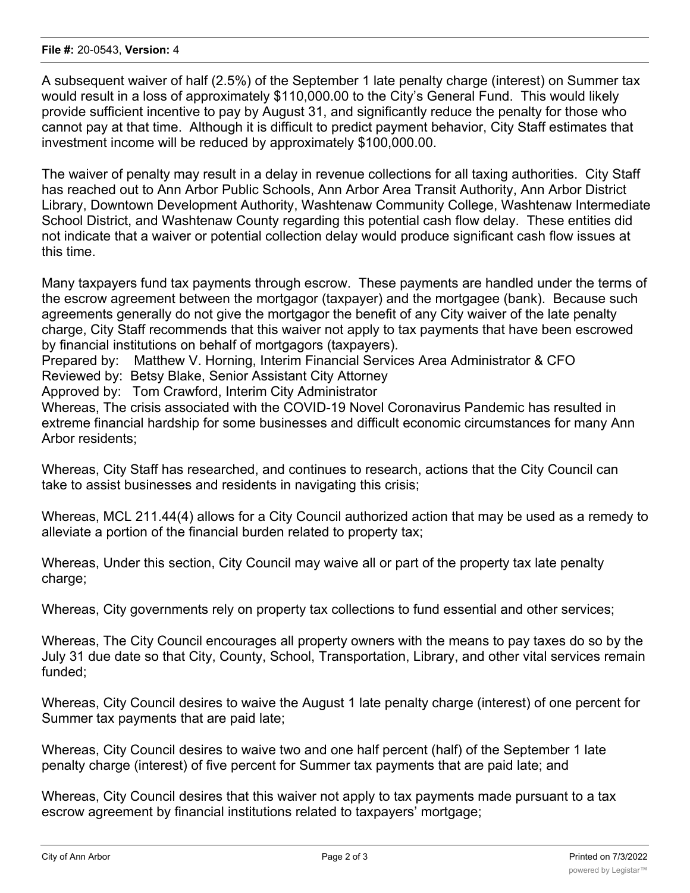## **File #:** 20-0543, **Version:** 4

A subsequent waiver of half (2.5%) of the September 1 late penalty charge (interest) on Summer tax would result in a loss of approximately \$110,000.00 to the City's General Fund. This would likely provide sufficient incentive to pay by August 31, and significantly reduce the penalty for those who cannot pay at that time. Although it is difficult to predict payment behavior, City Staff estimates that investment income will be reduced by approximately \$100,000.00.

The waiver of penalty may result in a delay in revenue collections for all taxing authorities. City Staff has reached out to Ann Arbor Public Schools, Ann Arbor Area Transit Authority, Ann Arbor District Library, Downtown Development Authority, Washtenaw Community College, Washtenaw Intermediate School District, and Washtenaw County regarding this potential cash flow delay. These entities did not indicate that a waiver or potential collection delay would produce significant cash flow issues at this time.

Many taxpayers fund tax payments through escrow. These payments are handled under the terms of the escrow agreement between the mortgagor (taxpayer) and the mortgagee (bank). Because such agreements generally do not give the mortgagor the benefit of any City waiver of the late penalty charge, City Staff recommends that this waiver not apply to tax payments that have been escrowed by financial institutions on behalf of mortgagors (taxpayers).

Prepared by: Matthew V. Horning, Interim Financial Services Area Administrator & CFO

Reviewed by: Betsy Blake, Senior Assistant City Attorney

Approved by: Tom Crawford, Interim City Administrator

Whereas, The crisis associated with the COVID-19 Novel Coronavirus Pandemic has resulted in extreme financial hardship for some businesses and difficult economic circumstances for many Ann Arbor residents;

Whereas, City Staff has researched, and continues to research, actions that the City Council can take to assist businesses and residents in navigating this crisis;

Whereas, MCL 211.44(4) allows for a City Council authorized action that may be used as a remedy to alleviate a portion of the financial burden related to property tax;

Whereas, Under this section, City Council may waive all or part of the property tax late penalty charge;

Whereas, City governments rely on property tax collections to fund essential and other services;

Whereas, The City Council encourages all property owners with the means to pay taxes do so by the July 31 due date so that City, County, School, Transportation, Library, and other vital services remain funded;

Whereas, City Council desires to waive the August 1 late penalty charge (interest) of one percent for Summer tax payments that are paid late;

Whereas, City Council desires to waive two and one half percent (half) of the September 1 late penalty charge (interest) of five percent for Summer tax payments that are paid late; and

Whereas, City Council desires that this waiver not apply to tax payments made pursuant to a tax escrow agreement by financial institutions related to taxpayers' mortgage;